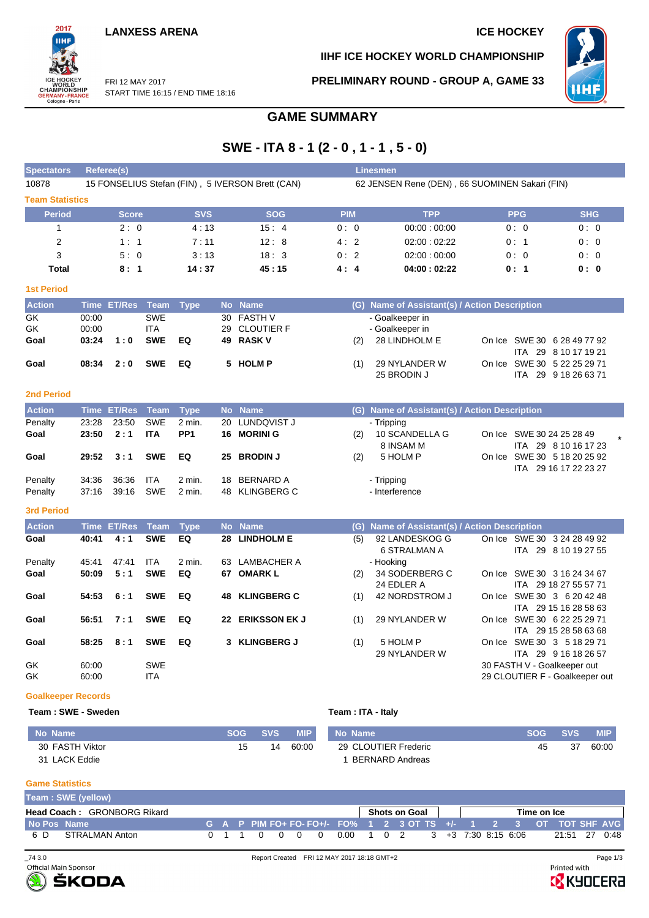## **LANXESS ARENA ICE HOCKEY**

START TIME 16:15 / END TIME 18:16

FRI 12 MAY 2017

2017 WORLD<br>CHAMPIONSHIP<br>GERMANY-FRANCE<br>Cologne-Paris

**IIHF ICE HOCKEY WORLD CHAMPIONSHIP**

**PRELIMINARY ROUND - GROUP A, GAME 33**



# **GAME SUMMARY**

# **SWE - ITA 8 - 1 (2 - 0 , 1 - 1 , 5 - 0)**

| <b>Spectators</b>         |       | Referee(s)         |             |                 |    |                                                  | <b>Linesmen</b>                                |     |                                               |  |            |                                                      |  |  |  |  |  |  |  |
|---------------------------|-------|--------------------|-------------|-----------------|----|--------------------------------------------------|------------------------------------------------|-----|-----------------------------------------------|--|------------|------------------------------------------------------|--|--|--|--|--|--|--|
| 10878                     |       |                    |             |                 |    | 15 FONSELIUS Stefan (FIN), 5 IVERSON Brett (CAN) | 62 JENSEN Rene (DEN), 66 SUOMINEN Sakari (FIN) |     |                                               |  |            |                                                      |  |  |  |  |  |  |  |
| <b>Team Statistics</b>    |       |                    |             |                 |    |                                                  |                                                |     |                                               |  |            |                                                      |  |  |  |  |  |  |  |
| <b>Period</b>             |       | <b>Score</b>       |             | <b>SVS</b>      |    | <b>SOG</b>                                       | <b>PIM</b>                                     |     | <b>TPP</b>                                    |  | <b>PPG</b> | <b>SHG</b>                                           |  |  |  |  |  |  |  |
| $\mathbf{1}$              |       | 2:0                |             | 4:13            |    | 15:4                                             | 0:0                                            |     | 00:00:00:00                                   |  | 0:0        | 0:0                                                  |  |  |  |  |  |  |  |
| $\overline{2}$            |       | 1:1                |             | 7:11            |    | 12:8                                             | 4:2                                            |     | 02:00:02:22                                   |  | 0: 1       | 0:0                                                  |  |  |  |  |  |  |  |
| 3                         |       | 5:0                |             | 3:13            |    | 18:3                                             | 0:2                                            |     | 02:00:00:00                                   |  | 0:0        | 0:0                                                  |  |  |  |  |  |  |  |
| <b>Total</b>              |       | 8:1                |             | 14:37           |    | 45:15                                            | 4:4                                            |     | 04:00:02:22                                   |  | 0:1        | 0: 0                                                 |  |  |  |  |  |  |  |
| <b>1st Period</b>         |       |                    |             |                 |    |                                                  |                                                |     |                                               |  |            |                                                      |  |  |  |  |  |  |  |
| <b>Action</b>             |       | Time ET/Res Team   |             | <b>Type</b>     |    | No Name                                          |                                                |     | (G) Name of Assistant(s) / Action Description |  |            |                                                      |  |  |  |  |  |  |  |
| GK                        | 00:00 |                    | <b>SWE</b>  |                 | 30 | <b>FASTH V</b>                                   |                                                |     | - Goalkeeper in                               |  |            |                                                      |  |  |  |  |  |  |  |
| GK                        | 00:00 |                    | <b>ITA</b>  |                 | 29 | <b>CLOUTIER F</b>                                |                                                |     | - Goalkeeper in                               |  |            |                                                      |  |  |  |  |  |  |  |
| Goal                      | 03:24 | 1:0                | <b>SWE</b>  | EQ              | 49 | <b>RASK V</b>                                    |                                                | (2) | 28 LINDHOLM E                                 |  |            | On Ice SWE 30 6 28 49 77 92                          |  |  |  |  |  |  |  |
|                           |       |                    | <b>SWE</b>  | EQ              |    |                                                  |                                                |     |                                               |  |            | ITA 29 8 10 17 19 21                                 |  |  |  |  |  |  |  |
| Goal                      | 08:34 | 2:0                |             |                 |    | 5 HOLM P                                         |                                                | (1) | 29 NYLANDER W<br>25 BRODIN J                  |  |            | On Ice SWE 30 5 22 25 29 71<br>ITA 29 9 18 26 63 71  |  |  |  |  |  |  |  |
|                           |       |                    |             |                 |    |                                                  |                                                |     |                                               |  |            |                                                      |  |  |  |  |  |  |  |
| <b>2nd Period</b>         |       |                    |             |                 |    |                                                  |                                                |     |                                               |  |            |                                                      |  |  |  |  |  |  |  |
| <b>Action</b>             |       | <b>Time ET/Res</b> | <b>Team</b> | <b>Type</b>     |    | No Name                                          |                                                |     | (G) Name of Assistant(s) / Action Description |  |            |                                                      |  |  |  |  |  |  |  |
| Penalty                   | 23:28 | 23:50              | <b>SWE</b>  | 2 min.          | 20 | LUNDQVIST J                                      |                                                |     | - Tripping                                    |  |            |                                                      |  |  |  |  |  |  |  |
| Goal                      | 23:50 | 2:1                | <b>ITA</b>  | PP <sub>1</sub> |    | 16 MORINI G                                      |                                                | (2) | 10 SCANDELLA G                                |  |            | On Ice SWE 30 24 25 28 49                            |  |  |  |  |  |  |  |
|                           |       |                    |             |                 |    |                                                  |                                                |     | 8 INSAM M                                     |  |            | ITA 29 8 10 16 17 23                                 |  |  |  |  |  |  |  |
| Goal                      | 29:52 | 3:1                | <b>SWE</b>  | EQ              | 25 | <b>BRODIN J</b>                                  |                                                | (2) | 5 HOLM P                                      |  |            | On Ice SWE 30 5 18 20 25 92<br>ITA 29 16 17 22 23 27 |  |  |  |  |  |  |  |
| Penalty                   | 34:36 | 36:36              | <b>ITA</b>  | 2 min.          | 18 | <b>BERNARD A</b>                                 |                                                |     | - Tripping                                    |  |            |                                                      |  |  |  |  |  |  |  |
| Penalty                   | 37:16 | 39:16              | <b>SWE</b>  | 2 min.          | 48 | <b>KLINGBERG C</b>                               |                                                |     | - Interference                                |  |            |                                                      |  |  |  |  |  |  |  |
|                           |       |                    |             |                 |    |                                                  |                                                |     |                                               |  |            |                                                      |  |  |  |  |  |  |  |
| <b>3rd Period</b>         |       |                    |             |                 |    |                                                  |                                                |     |                                               |  |            |                                                      |  |  |  |  |  |  |  |
| <b>Action</b>             |       | <b>Time ET/Res</b> | <b>Team</b> | <b>Type</b>     |    | No Name                                          |                                                | (G) | Name of Assistant(s) / Action Description     |  |            |                                                      |  |  |  |  |  |  |  |
| Goal                      | 40:41 | 4:1                | <b>SWE</b>  | EQ              | 28 | <b>LINDHOLM E</b>                                |                                                | (5) | 92 LANDESKOG G                                |  |            | On Ice SWE 30 3 24 28 49 92                          |  |  |  |  |  |  |  |
| Penalty                   | 45.41 | 47:41              | <b>ITA</b>  | 2 min.          | 63 | <b>LAMBACHER A</b>                               |                                                |     | 6 STRALMAN A<br>- Hooking                     |  |            | ITA 29 8 10 19 27 55                                 |  |  |  |  |  |  |  |
| Goal                      | 50:09 | 5:1                | <b>SWE</b>  | EQ              | 67 | <b>OMARKL</b>                                    |                                                | (2) | 34 SODERBERG C                                |  |            | On Ice SWE 30 3 16 24 34 67                          |  |  |  |  |  |  |  |
|                           |       |                    |             |                 |    |                                                  |                                                |     | 24 EDLER A                                    |  |            | ITA 29 18 27 55 57 71                                |  |  |  |  |  |  |  |
| Goal                      | 54:53 | 6:1                | <b>SWE</b>  | EQ              | 48 | <b>KLINGBERG C</b>                               |                                                | (1) | 42 NORDSTROM J                                |  |            | On Ice SWE 30 3 6 20 42 48                           |  |  |  |  |  |  |  |
|                           |       |                    |             |                 |    |                                                  |                                                |     |                                               |  |            | ITA 29 15 16 28 58 63                                |  |  |  |  |  |  |  |
| Goal                      | 56:51 | 7:1                | <b>SWE</b>  | EQ              |    | 22 ERIKSSON EK J                                 |                                                | (1) | 29 NYLANDER W                                 |  |            | On Ice SWE 30 6 22 25 29 71                          |  |  |  |  |  |  |  |
|                           |       |                    |             |                 |    |                                                  |                                                |     |                                               |  |            | ITA 29 15 28 58 63 68                                |  |  |  |  |  |  |  |
| Goal                      | 58:25 | 8:1                | <b>SWE</b>  | EQ              | 3  | <b>KLINGBERG J</b>                               |                                                | (1) | 5 HOLM P                                      |  |            | On Ice SWE 30 3 5 18 29 71                           |  |  |  |  |  |  |  |
| GK                        | 60:00 |                    | <b>SWE</b>  |                 |    |                                                  |                                                |     | 29 NYLANDER W                                 |  |            | ITA 29 9 16 18 26 57<br>30 FASTH V - Goalkeeper out  |  |  |  |  |  |  |  |
| GK                        | 60:00 |                    | <b>ITA</b>  |                 |    |                                                  |                                                |     |                                               |  |            | 29 CLOUTIER F - Goalkeeper out                       |  |  |  |  |  |  |  |
|                           |       |                    |             |                 |    |                                                  |                                                |     |                                               |  |            |                                                      |  |  |  |  |  |  |  |
| <b>Goalkeeper Records</b> |       |                    |             |                 |    |                                                  |                                                |     |                                               |  |            |                                                      |  |  |  |  |  |  |  |

#### **Team : SWE - Sweden Team : ITA - Italy**

| No Name         | <b>SOG</b> | <b>SVS</b> | <b>MIP</b> | No Name              | <b>SOG</b> | <b>SVS</b> | MIP.  |
|-----------------|------------|------------|------------|----------------------|------------|------------|-------|
| 30 FASTH Viktor | 15         | 14         | 60:00      | 29 CLOUTIER Frederic | 45         | -37        | 60:00 |
| 31 LACK Eddie   |            |            |            | BERNARD Andreas      |            |            |       |

### **Game Statistics**

| Team: SWE (yellow)                 |                |  |  |  |        |  |  |          |  |  |  |                                                                                  |  |  |             |  |  |  |               |  |  |
|------------------------------------|----------------|--|--|--|--------|--|--|----------|--|--|--|----------------------------------------------------------------------------------|--|--|-------------|--|--|--|---------------|--|--|
| <b>Head Coach: GRONBORG Rikard</b> |                |  |  |  |        |  |  |          |  |  |  | Shots on Goal                                                                    |  |  | Time on Ice |  |  |  |               |  |  |
| No Pos Name                        |                |  |  |  |        |  |  |          |  |  |  | ιG A P PIM FO+ FO-FO+/- FO% 1 2 3.ΟΤ TS +/- 1 2 3 ΟΤ ΤΟΤ SHF AVGΙ                |  |  |             |  |  |  |               |  |  |
| 6 D                                | STRALMAN Anton |  |  |  | 011000 |  |  | $\Omega$ |  |  |  | $0.00 \quad 1 \quad 0 \quad 2 \quad 3 \quad +3 \quad 7:30 \quad 8:15 \quad 6:06$ |  |  |             |  |  |  | 21:51 27 0:48 |  |  |



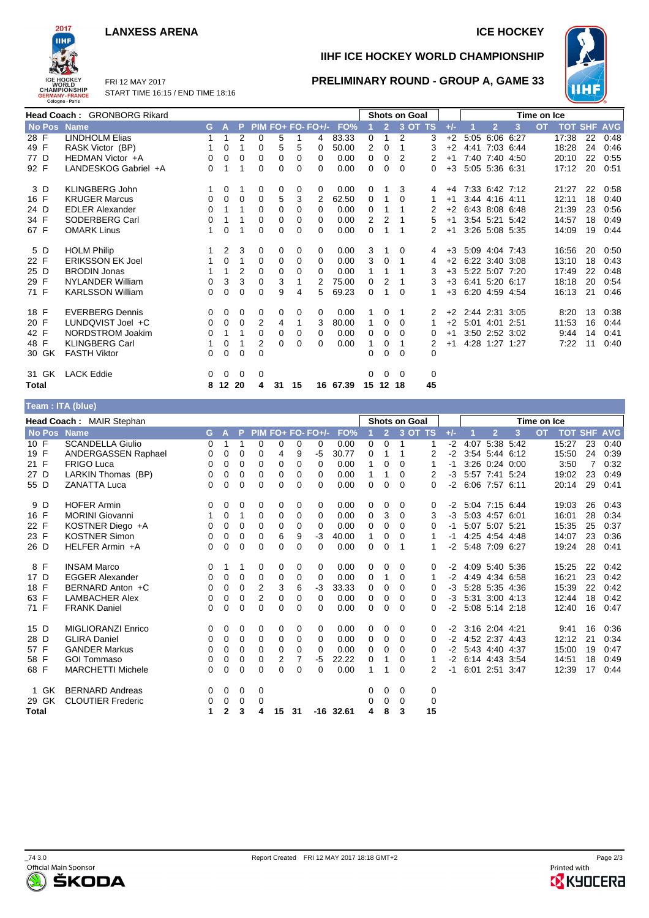### **LANXESS ARENA ICE HOCKEY**

FRI 12 MAY 2017



## **IIHF ICE HOCKEY WORLD CHAMPIONSHIP**

**PRELIMINARY ROUND - GROUP A, GAME 33**



START TIME 16:15 / END TIME 18:16

|                  | <b>Head Coach: GRONBORG Rikard</b> |          |             |                |          |          |    |                     |          |          |                | <b>Shots on Goal</b> |          |       | Time on Ice         |                |                |           |            |            |            |
|------------------|------------------------------------|----------|-------------|----------------|----------|----------|----|---------------------|----------|----------|----------------|----------------------|----------|-------|---------------------|----------------|----------------|-----------|------------|------------|------------|
| No Pos Name      |                                    | G        | A           | P.             |          |          |    | $PIM FO+ FO- FO+/-$ | FO%      |          | $\overline{2}$ |                      | 3 OT TS  | $+/-$ |                     | 2              | 3              | <b>OT</b> | <b>TOT</b> | <b>SHF</b> | <b>AVG</b> |
| 28 F             | <b>LINDHOLM Elias</b>              |          | 1           | $\overline{2}$ | $\Omega$ | 5        |    | 4                   | 83.33    | 0        |                | 2                    | 3        | $+2$  | 5:05                |                | 6:06 6:27      |           | 17:38      | 22         | 0:48       |
| 49 F             | RASK Victor (BP)                   |          | $\Omega$    |                | 0        | 5        | 5  | 0                   | 50.00    | 2        | $\Omega$       |                      | 3        | $+2$  |                     | 4:41 7:03 6:44 |                |           | 18:28      | 24         | 0:46       |
| 77 D             | HEDMAN Victor +A                   | 0        | $\Omega$    | 0              | 0        | 0        | 0  | 0                   | 0.00     | 0        | 0              | 2                    | 2        | $+1$  |                     | 7:40 7:40 4:50 |                |           | 20:10      | 22         | 0:55       |
| 92 F             | LANDESKOG Gabriel +A               | 0        |             |                | 0        | $\Omega$ | 0  | 0                   | 0.00     | 0        | 0              | 0                    | 0        | $+3$  |                     | 5:05 5:36 6:31 |                |           | 17:12      | 20         | 0:51       |
| 3 D              | <b>KLINGBERG John</b>              |          | 0           |                | 0        | 0        | 0  | 0                   | 0.00     | 0        |                | 3                    | 4        |       | +4 7:33 6:42 7:12   |                |                |           | 21:27      | 22         | 0:58       |
| 16 F             | <b>KRUGER Marcus</b>               | 0        | $\Omega$    | $\Omega$       | $\Omega$ | 5        | 3  | 2                   | 62.50    | 0        |                | 0                    |          | $+1$  |                     | 3:44 4:16 4:11 |                |           | 12:11      | 18         | 0:40       |
| 24 D             | <b>EDLER Alexander</b>             | 0        |             |                | $\Omega$ | $\Omega$ | 0  | $\Omega$            | 0.00     | 0        |                |                      |          | $+2$  |                     | 6.43 8.08 6.48 |                |           | 21:39      | 23         | 0:56       |
| 34 F             | SODERBERG Carl                     | 0        | 1           |                | 0        | 0        | 0  | $\Omega$            | 0.00     | 2        | 2              |                      | 5        | $+1$  |                     | 3:54 5:21 5:42 |                |           | 14:57      | 18         | 0:49       |
| 67 F             | <b>OMARK Linus</b>                 |          | 0           |                | $\Omega$ | $\Omega$ | 0  | 0                   | 0.00     | $\Omega$ |                |                      | 2        | $+1$  |                     |                | 3:26 5:08 5:35 |           | 14:09      | 19         | 0:44       |
| 5 D              | <b>HOLM Philip</b>                 |          | 2           | 3              | 0        | 0        | 0  | 0                   | 0.00     | 3        |                | 0                    | 4        | $+3$  |                     | 5:09 4:04 7:43 |                |           | 16:56      | 20         | 0:50       |
| 22 F             | <b>ERIKSSON EK Joel</b>            |          | 0           | 1              | 0        | 0        | 0  | 0                   | 0.00     | 3        | 0              |                      | 4        | $+2$  |                     | 6:22 3:40 3:08 |                |           | 13:10      | 18         | 0:43       |
| 25 D             | <b>BRODIN Jonas</b>                |          |             | 2              | 0        | 0        | 0  | 0                   | 0.00     | 1        |                |                      | 3        | $+3$  |                     | 5:22 5:07 7:20 |                |           | 17:49      | 22         | 0:48       |
| 29 F             | <b>NYLANDER William</b>            | $\Omega$ | 3           | 3              | 0        | 3        |    | 2                   | 75.00    | 0        | 2              |                      | 3        | $+3$  |                     | 6:41 5:20 6:17 |                |           | 18:18      | 20         | 0:54       |
| 71 F             | <b>KARLSSON William</b>            | 0        | $\mathbf 0$ | $\Omega$       | 0        | 9        | 4  | 5                   | 69.23    | 0        |                | $\Omega$             |          |       | +3 6:20 4:59 4:54   |                |                |           | 16:13      | 21         | 0:46       |
| 18 F             | <b>EVERBERG Dennis</b>             | 0        | 0           | $\Omega$       | 0        | 0        | 0  | 0                   | 0.00     |          | $\Omega$       | 1                    | 2        |       | $+2$ 2:44 2:31 3:05 |                |                |           | 8:20       | 13         | 0:38       |
| 20 F             | LUNDQVIST Joel +C                  | 0        | 0           | $\mathbf 0$    | 2        | 4        |    | 3                   | 80.00    | 1        | 0              | 0                    |          | $+2$  |                     | 5:01 4:01 2:51 |                |           | 11:53      | 16         | 0:44       |
| 42 F             | NORDSTROM Joakim                   | 0        |             |                | 0        | 0        | 0  | $\Omega$            | 0.00     | 0        | 0              | $\Omega$             | 0        | $+1$  |                     | 3:50 2:52 3:02 |                |           | 9.44       | 14         | 0:41       |
| 48 F             | <b>KLINGBERG Carl</b>              |          | 0           |                | 2        | $\Omega$ | 0  | 0                   | 0.00     |          | 0              |                      |          | $+1$  |                     | 4:28 1:27 1:27 |                |           | 7:22       | 11         | 0:40       |
| 30 GK            | <b>FASTH Viktor</b>                | 0        | $\Omega$    | $\Omega$       | $\Omega$ |          |    |                     |          | 0        | 0              | 0                    | $\Omega$ |       |                     |                |                |           |            |            |            |
| 31 GK            | <b>LACK Eddie</b>                  | $\Omega$ | $\mathbf 0$ | 0              | 0        |          |    |                     |          | 0        | $\Omega$       | $\Omega$             | 0        |       |                     |                |                |           |            |            |            |
| Total            |                                    | 8        | 12 20       |                | 4        | 31       | 15 |                     | 16 67.39 | 15       | 12 18          |                      | 45       |       |                     |                |                |           |            |            |            |
| Team: ITA (blue) |                                    |          |             |                |          |          |    |                     |          |          |                |                      |          |       |                     |                |                |           |            |            |            |

|               | Head Coach: MAIR Stephan  |    |          |          |                |                |          |                   |       |   |                | <b>Shots on Goal</b> |         |       | Time on Ice    |                |      |           |                |    |            |
|---------------|---------------------------|----|----------|----------|----------------|----------------|----------|-------------------|-------|---|----------------|----------------------|---------|-------|----------------|----------------|------|-----------|----------------|----|------------|
| <b>No Pos</b> | <b>Name</b>               | G. | A        | P.       |                |                |          | PIM FO+ FO- FO+/- | FO%   |   | $\overline{2}$ |                      | 3 OT TS | $+/-$ |                | $\overline{2}$ | 3    | <b>OT</b> | <b>TOT SHF</b> |    | <b>AVG</b> |
| 10 F          | <b>SCANDELLA Giulio</b>   | 0  | 1        |          | 0              | 0              | 0        | 0                 | 0.00  | 0 | 0              | 1                    |         | $-2$  | 4:07           | 5:38 5:42      |      |           | 15:27          | 23 | 0:40       |
| 19 F          | ANDERGASSEN Raphael       | 0  | 0        | 0        | 0              | 4              | 9        | -5                | 30.77 | 0 | 1              |                      | 2       | $-2$  |                | 3:54 5:44 6:12 |      |           | 15:50          | 24 | 0:39       |
| 21 F          | <b>FRIGO Luca</b>         | 0  | 0        | $\Omega$ | 0              | 0              | 0        | $\Omega$          | 0.00  | 1 | 0              | 0                    |         | -1    |                | 3:26 0:24 0:00 |      |           | 3:50           |    | 0:32       |
| 27 D          | LARKIN Thomas (BP)        | 0  | 0        | 0        | 0              | 0              | 0        | $\Omega$          | 0.00  | 1 | 1              | 0                    | 2       | $-3$  | 5:57 7:41 5:24 |                |      |           | 19:02          | 23 | 0:49       |
| 55 D          | <b>ZANATTA Luca</b>       | 0  | 0        | 0        | 0              | 0              | 0        | $\Omega$          | 0.00  | 0 | 0              | $\Omega$             | 0       | $-2$  | 6:06 7:57 6:11 |                |      |           | 20:14          | 29 | 0:41       |
| 9 D           | <b>HOFER Armin</b>        | 0  | 0        | 0        | 0              | 0              | 0        | 0                 | 0.00  | 0 | 0              | 0                    | 0       | $-2$  | 5:04 7:15 6:44 |                |      |           | 19:03          | 26 | 0:43       |
| 16 F          | <b>MORINI Giovanni</b>    |    | 0        | 1        | 0              | 0              | 0        | $\Omega$          | 0.00  | 0 | 3              | 0                    | 3       | $-3$  | 5:03 4:57 6:01 |                |      |           | 16:01          | 28 | 0:34       |
| 22 F          | KOSTNER Diego +A          | 0  | 0        | 0        | 0              | 0              | 0        | 0                 | 0.00  | 0 | 0              | 0                    | 0       | -1    |                | 5:07 5:07      | 5:21 |           | 15:35          | 25 | 0:37       |
| 23 F          | <b>KOSTNER Simon</b>      | 0  | 0        | 0        | 0              | 6              | 9        | -3                | 40.00 | 1 | 0              | 0                    |         | $-1$  |                | 4:25 4:54 4:48 |      |           | 14:07          | 23 | 0:36       |
| 26 D          | HELFER Armin +A           | 0  | 0        | 0        | 0              | 0              | $\Omega$ | $\Omega$          | 0.00  | 0 | 0              |                      |         | $-2$  | 5:48 7:09 6:27 |                |      |           | 19:24          | 28 | 0:41       |
| 8 F           | <b>INSAM Marco</b>        | 0  | 1        | 1        | 0              | 0              | 0        | 0                 | 0.00  | 0 | 0              | 0                    | 0       | $-2$  |                | 4:09 5:40 5:36 |      |           | 15:25          | 22 | 0:42       |
| 17 D          | <b>EGGER Alexander</b>    | 0  | 0        | 0        | 0              | 0              | 0        | 0                 | 0.00  | 0 | 1              | 0                    |         | $-2$  | 4:49 4:34 6:58 |                |      |           | 16:21          | 23 | 0:42       |
| 18 F          | BERNARD Anton +C          | 0  | 0        | 0        | $\overline{2}$ | 3              | 6        | $-3$              | 33.33 | 0 | 0              | 0                    | 0       | $-3$  |                | 5:28 5:35 4:36 |      |           | 15:39          | 22 | 0:42       |
| 63 F          | <b>LAMBACHER Alex</b>     | 0  | 0        | 0        | 2              | 0              | 0        | $\Omega$          | 0.00  | 0 | 0              | 0                    | 0       | $-3$  | 5:31 3:00 4:13 |                |      |           | 12:44          | 18 | 0:42       |
| 71 F          | <b>FRANK Daniel</b>       | 0  | 0        | 0        | 0              | 0              | 0        | 0                 | 0.00  | 0 | 0              | 0                    | 0       | $-2$  | 5:08 5:14 2:18 |                |      |           | 12:40          | 16 | 0:47       |
| 15 D          | <b>MIGLIORANZI Enrico</b> | 0  | 0        | 0        | 0              | 0              | 0        | 0                 | 0.00  | 0 | 0              | 0                    | 0       | $-2$  |                | 3:16 2:04 4:21 |      |           | 9:41           | 16 | 0:36       |
| 28 D          | <b>GLIRA Daniel</b>       | 0  | 0        | 0        | 0              | 0              | 0        | $\Omega$          | 0.00  | 0 | 0              | 0                    | 0       | $-2$  | 4:52 2:37 4:43 |                |      |           | 12:12          | 21 | 0:34       |
| 57 F          | <b>GANDER Markus</b>      | 0  | 0        | 0        | 0              | 0              | 0        | $\Omega$          | 0.00  | 0 | 0              | 0                    | 0       | $-2$  |                | 5:43 4:40      | 4:37 |           | 15:00          | 19 | 0:47       |
| 58 F          | <b>GOI Tommaso</b>        | 0  | 0        | 0        | 0              | $\overline{2}$ | 7        | -5                | 22.22 | 0 | 1              | 0                    |         | $-2$  | 6:14 4:43 3:54 |                |      |           | 14:51          | 18 | 0:49       |
| 68 F          | <b>MARCHETTI Michele</b>  | 0  | $\Omega$ | $\Omega$ | $\Omega$       | 0              | $\Omega$ | 0                 | 0.00  | 1 |                | $\Omega$             | 2       | -1    |                | 6:01 2:51 3:47 |      |           | 12:39          | 17 | 0:44       |
| 1 GK          | <b>BERNARD Andreas</b>    | 0  | 0        | 0        | 0              |                |          |                   |       | 0 | 0              | 0                    | 0       |       |                |                |      |           |                |    |            |
| 29 GK         | <b>CLOUTIER Frederic</b>  | 0  | 0        | 0        | 0              |                |          |                   |       | 0 | 0              | $\Omega$             | 0       |       |                |                |      |           |                |    |            |
| <b>Total</b>  |                           | 1  | 2        | 3        | 4              | 15             | 31       | -16               | 32.61 | 4 | 8              | 3                    | 15      |       |                |                |      |           |                |    |            |